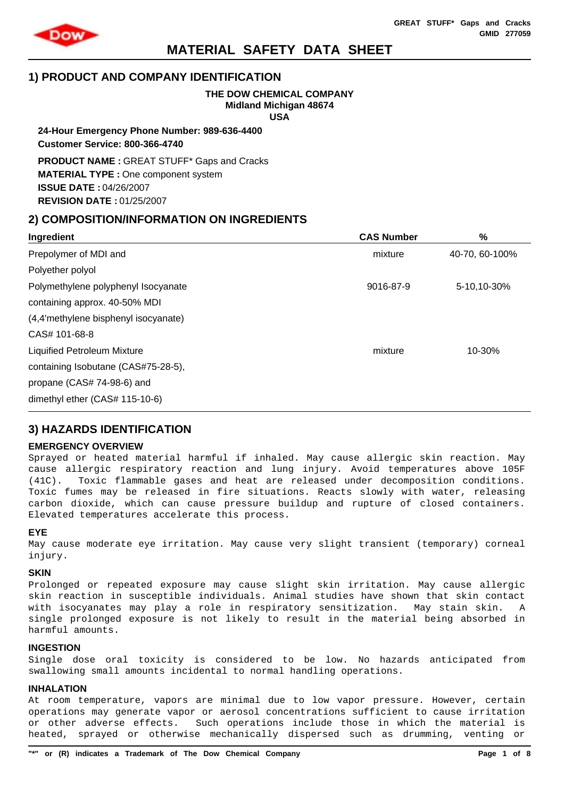

# **1) PRODUCT AND COMPANY IDENTIFICATION**

# **THE DOW CHEMICAL COMPANY Midland Michigan 48674**

**USA**

**24-Hour Emergency Phone Number: 989-636-4400 Customer Service: 800-366-4740**

**PRODUCT NAME :** GREAT STUFF\* Gaps and Cracks **MATERIAL TYPE :** One component system **ISSUE DATE :** 04/26/2007 **REVISION DATE :** 01/25/2007

# **2) COMPOSITION/INFORMATION ON INGREDIENTS**

| Ingredient                           | <b>CAS Number</b> | %              |
|--------------------------------------|-------------------|----------------|
| Prepolymer of MDI and                | mixture           | 40-70, 60-100% |
| Polyether polyol                     |                   |                |
| Polymethylene polyphenyl Isocyanate  | 9016-87-9         | 5-10,10-30%    |
| containing approx. 40-50% MDI        |                   |                |
| (4,4'methylene bisphenyl isocyanate) |                   |                |
| CAS# 101-68-8                        |                   |                |
| <b>Liquified Petroleum Mixture</b>   | mixture           | 10-30%         |
| containing Isobutane (CAS#75-28-5),  |                   |                |
| propane (CAS# 74-98-6) and           |                   |                |
| dimethyl ether (CAS# 115-10-6)       |                   |                |
|                                      |                   |                |

# **3) HAZARDS IDENTIFICATION**

## **EMERGENCY OVERVIEW**

Sprayed or heated material harmful if inhaled. May cause allergic skin reaction. May cause allergic respiratory reaction and lung injury. Avoid temperatures above 105F (41C). Toxic flammable gases and heat are released under decomposition conditions. Toxic fumes may be released in fire situations. Reacts slowly with water, releasing carbon dioxide, which can cause pressure buildup and rupture of closed containers. Elevated temperatures accelerate this process.

## **EYE**

May cause moderate eye irritation. May cause very slight transient (temporary) corneal injury.

### **SKIN**

Prolonged or repeated exposure may cause slight skin irritation. May cause allergic skin reaction in susceptible individuals. Animal studies have shown that skin contact with isocyanates may play a role in respiratory sensitization. May stain skin. A single prolonged exposure is not likely to result in the material being absorbed in harmful amounts.

## **INGESTION**

Single dose oral toxicity is considered to be low. No hazards anticipated from swallowing small amounts incidental to normal handling operations.

# **INHALATION**

At room temperature, vapors are minimal due to low vapor pressure. However, certain operations may generate vapor or aerosol concentrations sufficient to cause irritation or other adverse effects. Such operations include those in which the material is heated, sprayed or otherwise mechanically dispersed such as drumming, venting or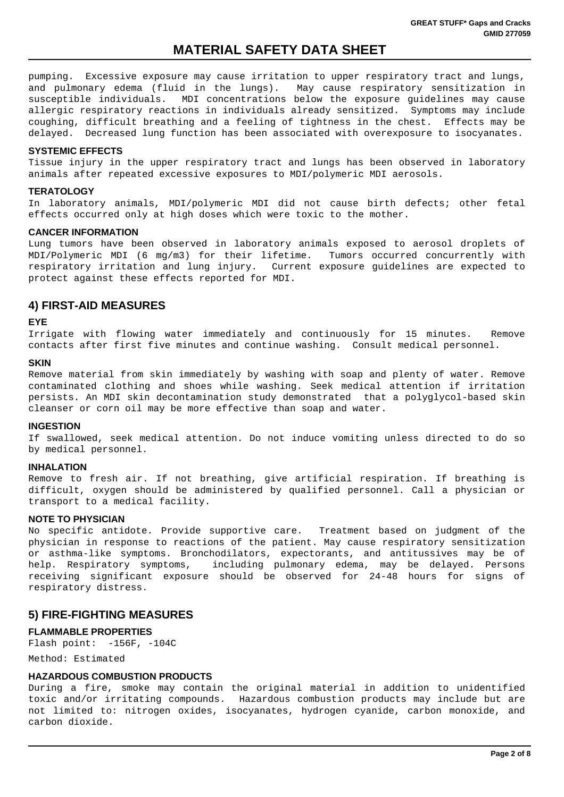pumping. Excessive exposure may cause irritation to upper respiratory tract and lungs, and pulmonary edema (fluid in the lungs). May cause respiratory sensitization in susceptible individuals. MDI concentrations below the exposure guidelines may cause allergic respiratory reactions in individuals already sensitized. Symptoms may include coughing, difficult breathing and a feeling of tightness in the chest. Effects may be delayed. Decreased lung function has been associated with overexposure to isocyanates.

## **SYSTEMIC EFFECTS**

Tissue injury in the upper respiratory tract and lungs has been observed in laboratory animals after repeated excessive exposures to MDI/polymeric MDI aerosols.

### **TERATOLOGY**

In laboratory animals, MDI/polymeric MDI did not cause birth defects; other fetal effects occurred only at high doses which were toxic to the mother.

### **CANCER INFORMATION**

Lung tumors have been observed in laboratory animals exposed to aerosol droplets of MDI/Polymeric MDI (6 mg/m3) for their lifetime. Tumors occurred concurrently with respiratory irritation and lung injury. Current exposure guidelines are expected to protect against these effects reported for MDI.

# **4) FIRST-AID MEASURES**

### **EYE**

Irrigate with flowing water immediately and continuously for 15 minutes. Remove contacts after first five minutes and continue washing. Consult medical personnel.

#### **SKIN**

Remove material from skin immediately by washing with soap and plenty of water. Remove contaminated clothing and shoes while washing. Seek medical attention if irritation persists. An MDI skin decontamination study demonstrated that a polyglycol-based skin cleanser or corn oil may be more effective than soap and water.

### **INGESTION**

If swallowed, seek medical attention. Do not induce vomiting unless directed to do so by medical personnel.

### **INHALATION**

Remove to fresh air. If not breathing, give artificial respiration. If breathing is difficult, oxygen should be administered by qualified personnel. Call a physician or transport to a medical facility.

## **NOTE TO PHYSICIAN**

No specific antidote. Provide supportive care. Treatment based on judgment of the physician in response to reactions of the patient. May cause respiratory sensitization or asthma-like symptoms. Bronchodilators, expectorants, and antitussives may be of help. Respiratory symptoms, including pulmonary edema, may be delayed. Persons receiving significant exposure should be observed for 24-48 hours for signs of respiratory distress.

# **5) FIRE-FIGHTING MEASURES**

### **FLAMMABLE PROPERTIES**

Flash point: -156F, -104C

Method: Estimated

### **HAZARDOUS COMBUSTION PRODUCTS**

During a fire, smoke may contain the original material in addition to unidentified toxic and/or irritating compounds. Hazardous combustion products may include but are not limited to: nitrogen oxides, isocyanates, hydrogen cyanide, carbon monoxide, and carbon dioxide.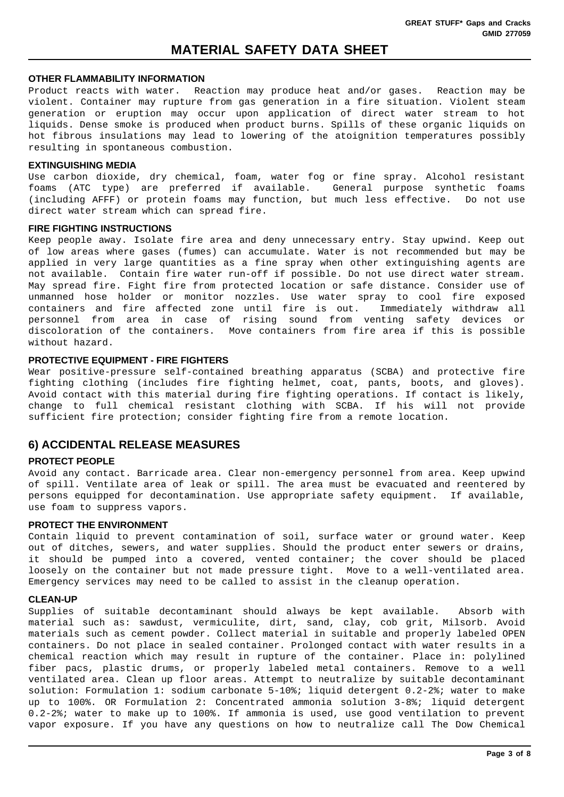#### **OTHER FLAMMABILITY INFORMATION**

Product reacts with water. Reaction may produce heat and/or gases. Reaction may be violent. Container may rupture from gas generation in a fire situation. Violent steam generation or eruption may occur upon application of direct water stream to hot liquids. Dense smoke is produced when product burns. Spills of these organic liquids on hot fibrous insulations may lead to lowering of the atoignition temperatures possibly resulting in spontaneous combustion.

### **EXTINGUISHING MEDIA**

Use carbon dioxide, dry chemical, foam, water fog or fine spray. Alcohol resistant foams (ATC type) are preferred if available. General purpose synthetic foams (including AFFF) or protein foams may function, but much less effective. Do not use direct water stream which can spread fire.

### **FIRE FIGHTING INSTRUCTIONS**

Keep people away. Isolate fire area and deny unnecessary entry. Stay upwind. Keep out of low areas where gases (fumes) can accumulate. Water is not recommended but may be applied in very large quantities as a fine spray when other extinguishing agents are not available. Contain fire water run-off if possible. Do not use direct water stream. May spread fire. Fight fire from protected location or safe distance. Consider use of unmanned hose holder or monitor nozzles. Use water spray to cool fire exposed containers and fire affected zone until fire is out. Immediately withdraw all personnel from area in case of rising sound from venting safety devices or discoloration of the containers. Move containers from fire area if this is possible without hazard.

## **PROTECTIVE EQUIPMENT - FIRE FIGHTERS**

Wear positive-pressure self-contained breathing apparatus (SCBA) and protective fire fighting clothing (includes fire fighting helmet, coat, pants, boots, and gloves). Avoid contact with this material during fire fighting operations. If contact is likely, change to full chemical resistant clothing with SCBA. If his will not provide sufficient fire protection; consider fighting fire from a remote location.

# **6) ACCIDENTAL RELEASE MEASURES**

### **PROTECT PEOPLE**

Avoid any contact. Barricade area. Clear non-emergency personnel from area. Keep upwind of spill. Ventilate area of leak or spill. The area must be evacuated and reentered by persons equipped for decontamination. Use appropriate safety equipment. If available, use foam to suppress vapors.

### **PROTECT THE ENVIRONMENT**

Contain liquid to prevent contamination of soil, surface water or ground water. Keep out of ditches, sewers, and water supplies. Should the product enter sewers or drains, it should be pumped into a covered, vented container; the cover should be placed loosely on the container but not made pressure tight. Move to a well-ventilated area. Emergency services may need to be called to assist in the cleanup operation.

#### **CLEAN-UP**

Supplies of suitable decontaminant should always be kept available. Absorb with material such as: sawdust, vermiculite, dirt, sand, clay, cob grit, Milsorb. Avoid materials such as cement powder. Collect material in suitable and properly labeled OPEN containers. Do not place in sealed container. Prolonged contact with water results in a chemical reaction which may result in rupture of the container. Place in: polylined fiber pacs, plastic drums, or properly labeled metal containers. Remove to a well ventilated area. Clean up floor areas. Attempt to neutralize by suitable decontaminant solution: Formulation 1: sodium carbonate 5-10%; liquid detergent 0.2-2%; water to make up to 100%. OR Formulation 2: Concentrated ammonia solution 3-8%; liquid detergent 0.2-2%; water to make up to 100%. If ammonia is used, use good ventilation to prevent vapor exposure. If you have any questions on how to neutralize call The Dow Chemical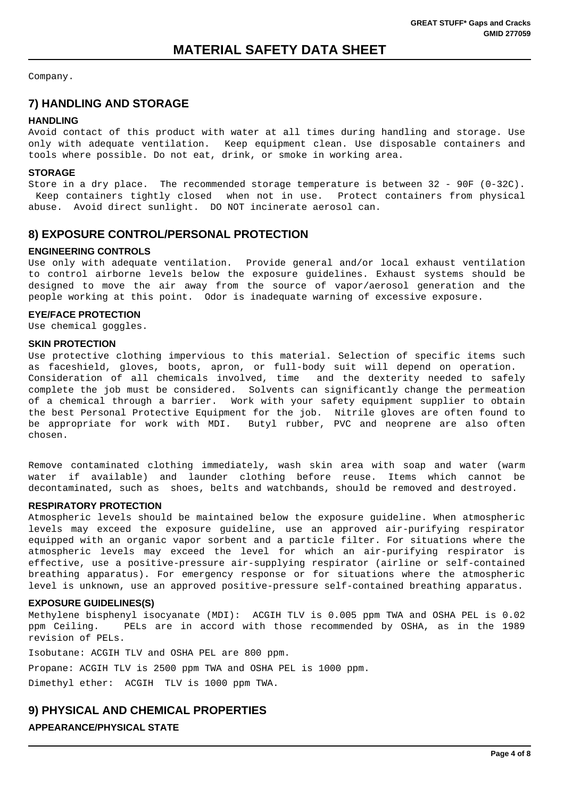Company.

# **7) HANDLING AND STORAGE**

## **HANDLING**

Avoid contact of this product with water at all times during handling and storage. Use only with adequate ventilation. Keep equipment clean. Use disposable containers and tools where possible. Do not eat, drink, or smoke in working area.

## **STORAGE**

Store in a dry place. The recommended storage temperature is between 32 - 90F (0-32C). Keep containers tightly closed when not in use. Protect containers from physical abuse. Avoid direct sunlight. DO NOT incinerate aerosol can.

# **8) EXPOSURE CONTROL/PERSONAL PROTECTION**

## **ENGINEERING CONTROLS**

Use only with adequate ventilation. Provide general and/or local exhaust ventilation to control airborne levels below the exposure guidelines. Exhaust systems should be designed to move the air away from the source of vapor/aerosol generation and the people working at this point. Odor is inadequate warning of excessive exposure.

## **EYE/FACE PROTECTION**

Use chemical goggles.

### **SKIN PROTECTION**

Use protective clothing impervious to this material. Selection of specific items such as faceshield, gloves, boots, apron, or full-body suit will depend on operation. Consideration of all chemicals involved, time and the dexterity needed to safely complete the job must be considered. Solvents can significantly change the permeation of a chemical through a barrier. Work with your safety equipment supplier to obtain the best Personal Protective Equipment for the job. Nitrile gloves are often found to be appropriate for work with MDI. Butyl rubber, PVC and neoprene are also often chosen.

Remove contaminated clothing immediately, wash skin area with soap and water (warm water if available) and launder clothing before reuse. Items which cannot be decontaminated, such as shoes, belts and watchbands, should be removed and destroyed.

## **RESPIRATORY PROTECTION**

Atmospheric levels should be maintained below the exposure guideline. When atmospheric levels may exceed the exposure guideline, use an approved air-purifying respirator equipped with an organic vapor sorbent and a particle filter. For situations where the atmospheric levels may exceed the level for which an air-purifying respirator is effective, use a positive-pressure air-supplying respirator (airline or self-contained breathing apparatus). For emergency response or for situations where the atmospheric level is unknown, use an approved positive-pressure self-contained breathing apparatus.

### **EXPOSURE GUIDELINES(S)**

Methylene bisphenyl isocyanate (MDI): ACGIH TLV is 0.005 ppm TWA and OSHA PEL is 0.02 ppm Ceiling. PELs are in accord with those recommended by OSHA, as in the 1989 revision of PELs.

Isobutane: ACGIH TLV and OSHA PEL are 800 ppm.

Propane: ACGIH TLV is 2500 ppm TWA and OSHA PEL is 1000 ppm.

Dimethyl ether: ACGIH TLV is 1000 ppm TWA.

# **9) PHYSICAL AND CHEMICAL PROPERTIES APPEARANCE/PHYSICAL STATE**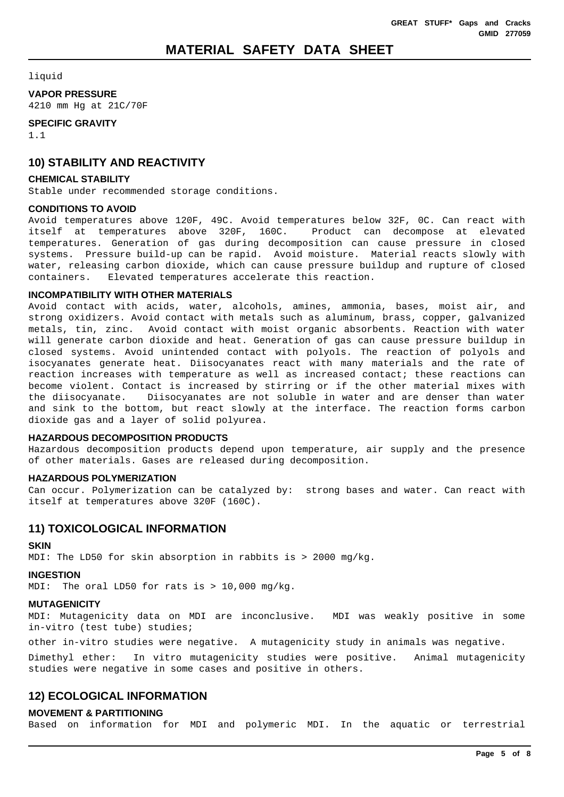### liquid

### **VAPOR PRESSURE**

4210 mm Hg at 21C/70F

## **SPECIFIC GRAVITY**

1.1

# **10) STABILITY AND REACTIVITY**

### **CHEMICAL STABILITY**

Stable under recommended storage conditions.

### **CONDITIONS TO AVOID**

Avoid temperatures above 120F, 49C. Avoid temperatures below 32F, 0C. Can react with itself at temperatures above 320F, 160C. Product can decompose at elevated temperatures. Generation of gas during decomposition can cause pressure in closed systems. Pressure build-up can be rapid. Avoid moisture. Material reacts slowly with water, releasing carbon dioxide, which can cause pressure buildup and rupture of closed containers. Elevated temperatures accelerate this reaction.

### **INCOMPATIBILITY WITH OTHER MATERIALS**

Avoid contact with acids, water, alcohols, amines, ammonia, bases, moist air, and strong oxidizers. Avoid contact with metals such as aluminum, brass, copper, galvanized metals, tin, zinc. Avoid contact with moist organic absorbents. Reaction with water will generate carbon dioxide and heat. Generation of gas can cause pressure buildup in closed systems. Avoid unintended contact with polyols. The reaction of polyols and isocyanates generate heat. Diisocyanates react with many materials and the rate of reaction increases with temperature as well as increased contact; these reactions can become violent. Contact is increased by stirring or if the other material mixes with the diisocyanate. Diisocyanates are not soluble in water and are denser than water and sink to the bottom, but react slowly at the interface. The reaction forms carbon dioxide gas and a layer of solid polyurea.

### **HAZARDOUS DECOMPOSITION PRODUCTS**

Hazardous decomposition products depend upon temperature, air supply and the presence of other materials. Gases are released during decomposition.

### **HAZARDOUS POLYMERIZATION**

Can occur. Polymerization can be catalyzed by: strong bases and water. Can react with itself at temperatures above 320F (160C).

# **11) TOXICOLOGICAL INFORMATION**

### **SKIN**

MDI: The LD50 for skin absorption in rabbits is > 2000 mg/kg.

# **INGESTION**

MDI: The oral LD50 for rats is > 10,000 mg/kg.

# **MUTAGENICITY**

MDI: Mutagenicity data on MDI are inconclusive. MDI was weakly positive in some in-vitro (test tube) studies;

other in-vitro studies were negative. A mutagenicity study in animals was negative.

Dimethyl ether: In vitro mutagenicity studies were positive. Animal mutagenicity studies were negative in some cases and positive in others.

# **12) ECOLOGICAL INFORMATION**

# **MOVEMENT & PARTITIONING**

Based on information for MDI and polymeric MDI. In the aquatic or terrestrial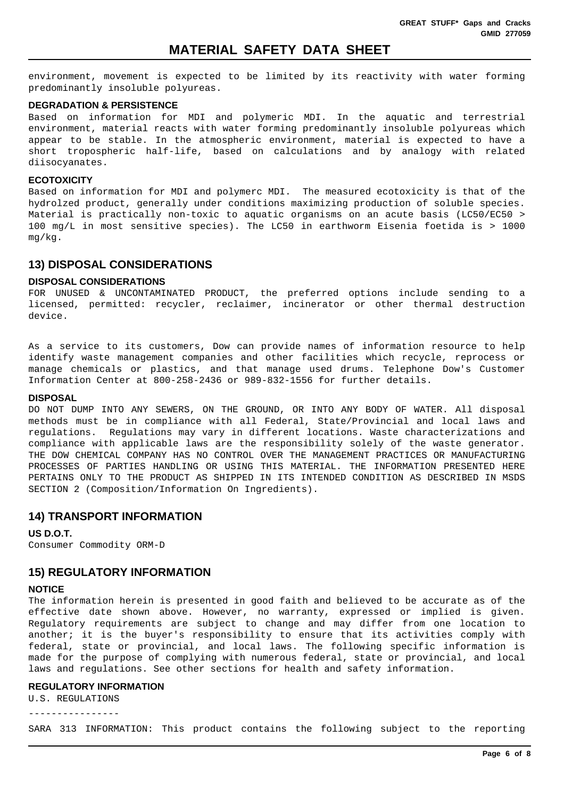environment, movement is expected to be limited by its reactivity with water forming predominantly insoluble polyureas.

#### **DEGRADATION & PERSISTENCE**

Based on information for MDI and polymeric MDI. In the aquatic and terrestrial environment, material reacts with water forming predominantly insoluble polyureas which appear to be stable. In the atmospheric environment, material is expected to have a short tropospheric half-life, based on calculations and by analogy with related diisocyanates.

#### **ECOTOXICITY**

Based on information for MDI and polymerc MDI. The measured ecotoxicity is that of the hydrolzed product, generally under conditions maximizing production of soluble species. Material is practically non-toxic to aquatic organisms on an acute basis (LC50/EC50 > 100 mg/L in most sensitive species). The LC50 in earthworm Eisenia foetida is > 1000 mg/kg.

# **13) DISPOSAL CONSIDERATIONS**

#### **DISPOSAL CONSIDERATIONS**

FOR UNUSED & UNCONTAMINATED PRODUCT, the preferred options include sending to a licensed, permitted: recycler, reclaimer, incinerator or other thermal destruction device.

As a service to its customers, Dow can provide names of information resource to help identify waste management companies and other facilities which recycle, reprocess or manage chemicals or plastics, and that manage used drums. Telephone Dow's Customer Information Center at 800-258-2436 or 989-832-1556 for further details.

#### **DISPOSAL**

DO NOT DUMP INTO ANY SEWERS, ON THE GROUND, OR INTO ANY BODY OF WATER. All disposal methods must be in compliance with all Federal, State/Provincial and local laws and regulations. Regulations may vary in different locations. Waste characterizations and compliance with applicable laws are the responsibility solely of the waste generator. THE DOW CHEMICAL COMPANY HAS NO CONTROL OVER THE MANAGEMENT PRACTICES OR MANUFACTURING PROCESSES OF PARTIES HANDLING OR USING THIS MATERIAL. THE INFORMATION PRESENTED HERE PERTAINS ONLY TO THE PRODUCT AS SHIPPED IN ITS INTENDED CONDITION AS DESCRIBED IN MSDS SECTION 2 (Composition/Information On Ingredients).

## **14) TRANSPORT INFORMATION**

### **US D.O.T.**

Consumer Commodity ORM-D

# **15) REGULATORY INFORMATION**

### **NOTICE**

The information herein is presented in good faith and believed to be accurate as of the effective date shown above. However, no warranty, expressed or implied is given. Regulatory requirements are subject to change and may differ from one location to another; it is the buyer's responsibility to ensure that its activities comply with federal, state or provincial, and local laws. The following specific information is made for the purpose of complying with numerous federal, state or provincial, and local laws and regulations. See other sections for health and safety information.

#### **REGULATORY INFORMATION**

U.S. REGULATIONS

----------------

SARA 313 INFORMATION: This product contains the following subject to the reporting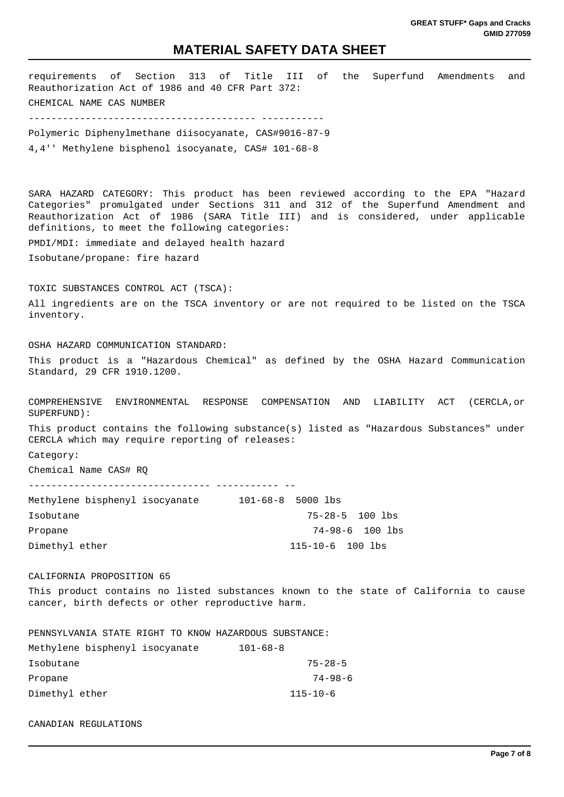requirements of Section 313 of Title III of the Superfund Amendments and Reauthorization Act of 1986 and 40 CFR Part 372: CHEMICAL NAME CAS NUMBER ---------------------------------------- ----------- Polymeric Diphenylmethane diisocyanate, CAS#9016-87-9 4,4'' Methylene bisphenol isocyanate, CAS# 101-68-8 SARA HAZARD CATEGORY: This product has been reviewed according to the EPA "Hazard Categories" promulgated under Sections 311 and 312 of the Superfund Amendment and Reauthorization Act of 1986 (SARA Title III) and is considered, under applicable definitions, to meet the following categories: PMDI/MDI: immediate and delayed health hazard Isobutane/propane: fire hazard TOXIC SUBSTANCES CONTROL ACT (TSCA): All ingredients are on the TSCA inventory or are not required to be listed on the TSCA inventory. OSHA HAZARD COMMUNICATION STANDARD: This product is a "Hazardous Chemical" as defined by the OSHA Hazard Communication Standard, 29 CFR 1910.1200. COMPREHENSIVE ENVIRONMENTAL RESPONSE COMPENSATION AND LIABILITY ACT (CERCLA,or SUPERFUND): This product contains the following substance(s) listed as "Hazardous Substances" under CERCLA which may require reporting of releases: Category: Chemical Name CAS# RQ -------------------------------- ----------- -- Methylene bisphenyl isocyanate 101-68-8 5000 lbs Isobutane 75-28-5 100 lbs Propane 74-98-6 100 lbs Dimethyl ether 115-10-6 100 lbs CALIFORNIA PROPOSITION 65 This product contains no listed substances known to the state of California to cause cancer, birth defects or other reproductive harm. PENNSYLVANIA STATE RIGHT TO KNOW HAZARDOUS SUBSTANCE: Methylene bisphenyl isocyanate 101-68-8 Isobutane 75-28-5 Propane 74-98-6

CANADIAN REGULATIONS

Dimethyl ether 115-10-6